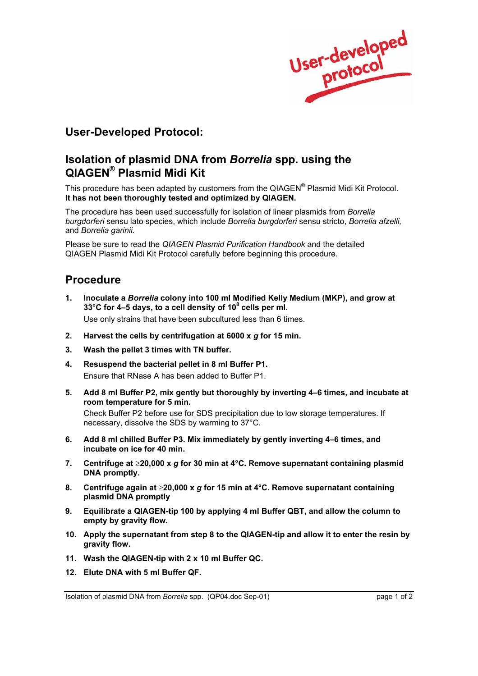

# **User-Developed Protocol:**

## **Isolation of plasmid DNA from** *Borrelia* **spp. using the QIAGEN® Plasmid Midi Kit**

This procedure has been adapted by customers from the QIAGEN® Plasmid Midi Kit Protocol. **It has not been thoroughly tested and optimized by QIAGEN.**

The procedure has been used successfully for isolation of linear plasmids from *Borrelia burgdorferi* sensu lato species, which include *Borrelia burgdorferi* sensu stricto, *Borrelia afzelli,* and *Borrelia garinii.*

Please be sure to read the *QIAGEN Plasmid Purification Handbook* and the detailed QIAGEN Plasmid Midi Kit Protocol carefully before beginning this procedure.

## **Procedure**

**1. Inoculate a** *Borrelia* **colony into 100 ml Modified Kelly Medium (MKP), and grow at 33°C for 4–5 days, to a cell density of 108 cells per ml.**

Use only strains that have been subcultured less than 6 times.

- **2. Harvest the cells by centrifugation at 6000 x** *g* **for 15 min.**
- **3. Wash the pellet 3 times with TN buffer.**
- **4. Resuspend the bacterial pellet in 8 ml Buffer P1.** Ensure that RNase A has been added to Buffer P1.
- **5. Add 8 ml Buffer P2, mix gently but thoroughly by inverting 4–6 times, and incubate at room temperature for 5 min.**

 Check Buffer P2 before use for SDS precipitation due to low storage temperatures. If necessary, dissolve the SDS by warming to 37°C.

- **6. Add 8 ml chilled Buffer P3. Mix immediately by gently inverting 4–6 times, and incubate on ice for 40 min.**
- **7. Centrifuge at** ≥**20,000 x** *g* **for 30 min at 4°C. Remove supernatant containing plasmid DNA promptly.**
- **8. Centrifuge again at** ≥**20,000 x** *g* **for 15 min at 4°C. Remove supernatant containing plasmid DNA promptly**
- **9. Equilibrate a QIAGEN-tip 100 by applying 4 ml Buffer QBT, and allow the column to empty by gravity flow.**
- **10. Apply the supernatant from step 8 to the QIAGEN-tip and allow it to enter the resin by gravity flow.**
- **11. Wash the QIAGEN-tip with 2 x 10 ml Buffer QC.**
- **12. Elute DNA with 5 ml Buffer QF.**

Isolation of plasmid DNA from *Borrelia* spp. (QP04.doc Sep-01) page 1 of 2